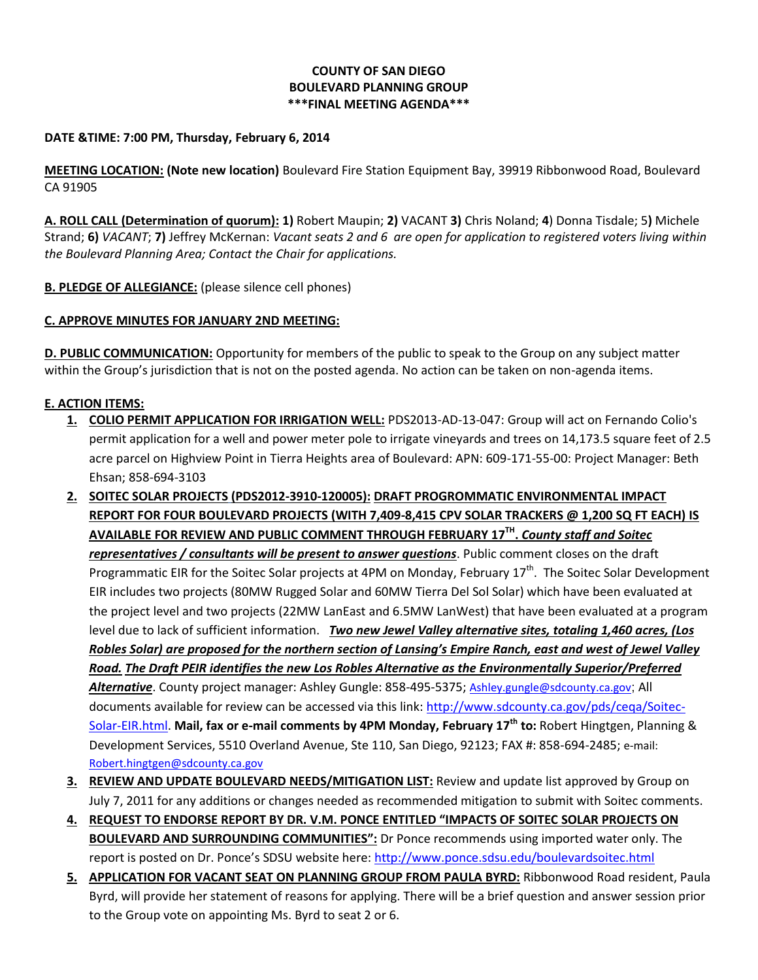## **COUNTY OF SAN DIEGO BOULEVARD PLANNING GROUP \*\*\*FINAL MEETING AGENDA\*\*\***

## **DATE &TIME: 7:00 PM, Thursday, February 6, 2014**

**MEETING LOCATION: (Note new location)** Boulevard Fire Station Equipment Bay, 39919 Ribbonwood Road, Boulevard CA 91905

**A. ROLL CALL (Determination of quorum): 1)** Robert Maupin; **2)** VACANT **3)** Chris Noland; **4**) Donna Tisdale; 5**)** Michele Strand; **6)** *VACANT*; **7)** Jeffrey McKernan: *Vacant seats 2 and 6 are open for application to registered voters living within the Boulevard Planning Area; Contact the Chair for applications.* 

**B. PLEDGE OF ALLEGIANCE:** (please silence cell phones)

## **C. APPROVE MINUTES FOR JANUARY 2ND MEETING:**

**D. PUBLIC COMMUNICATION:** Opportunity for members of the public to speak to the Group on any subject matter within the Group's jurisdiction that is not on the posted agenda. No action can be taken on non-agenda items.

## **E. ACTION ITEMS:**

- **1. COLIO PERMIT APPLICATION FOR IRRIGATION WELL:** PDS2013-AD-13-047: Group will act on Fernando Colio's permit application for a well and power meter pole to irrigate vineyards and trees on 14,173.5 square feet of 2.5 acre parcel on Highview Point in Tierra Heights area of Boulevard: APN: 609-171-55-00: Project Manager: Beth Ehsan; 858-694-3103
- **2. SOITEC SOLAR PROJECTS (PDS2012-3910-120005): DRAFT PROGROMMATIC ENVIRONMENTAL IMPACT REPORT FOR FOUR BOULEVARD PROJECTS (WITH 7,409-8,415 CPV SOLAR TRACKERS @ 1,200 SQ FT EACH) IS AVAILABLE FOR REVIEW AND PUBLIC COMMENT THROUGH FEBRUARY 17TH .** *County staff and Soitec representatives / consultants will be present to answer questions*. Public comment closes on the draft Programmatic EIR for the Soitec Solar projects at 4PM on Monday, February 17<sup>th</sup>. The Soitec Solar Development EIR includes two projects (80MW Rugged Solar and 60MW Tierra Del Sol Solar) which have been evaluated at the project level and two projects (22MW LanEast and 6.5MW LanWest) that have been evaluated at a program level due to lack of sufficient information. *Two new Jewel Valley alternative sites, totaling 1,460 acres, (Los Robles Solar) are proposed for the northern section of Lansing's Empire Ranch, east and west of Jewel Valley Road. The Draft PEIR identifies the new Los Robles Alternative as the Environmentally Superior/Preferred*  Alternative. County project manager: Ashley Gungle: 858-495-5375; [Ashley.gungle@sdcounty.ca.gov](mailto:Ashley.gungle@sdcounty.ca.gov); All documents available for review can be accessed via this link: [http://www.sdcounty.ca.gov/pds/ceqa/Soitec-](http://www.sdcounty.ca.gov/pds/ceqa/Soitec-Solar-EIR.html)[Solar-EIR.html.](http://www.sdcounty.ca.gov/pds/ceqa/Soitec-Solar-EIR.html) **Mail, fax or e-mail comments by 4PM Monday, February 17th to:** Robert Hingtgen, Planning & Development Services, 5510 Overland Avenue, Ste 110, San Diego, 92123; FAX #: 858-694-2485; e-mail: [Robert.hingtgen@sdcounty.ca.gov](mailto:Robert.hingtgen@sdcounty.ca.gov)
- **3. REVIEW AND UPDATE BOULEVARD NEEDS/MITIGATION LIST:** Review and update list approved by Group on July 7, 2011 for any additions or changes needed as recommended mitigation to submit with Soitec comments.
- **4. REQUEST TO ENDORSE REPORT BY DR. V.M. PONCE ENTITLED "IMPACTS OF SOITEC SOLAR PROJECTS ON BOULEVARD AND SURROUNDING COMMUNITIES":** Dr Ponce recommends using imported water only. The report is posted on Dr. Ponce's SDSU website here[: http://www.ponce.sdsu.edu/boulevardsoitec.html](http://www.ponce.sdsu.edu/boulevardsoitec.html)
- **5. APPLICATION FOR VACANT SEAT ON PLANNING GROUP FROM PAULA BYRD:** Ribbonwood Road resident, Paula Byrd, will provide her statement of reasons for applying. There will be a brief question and answer session prior to the Group vote on appointing Ms. Byrd to seat 2 or 6.